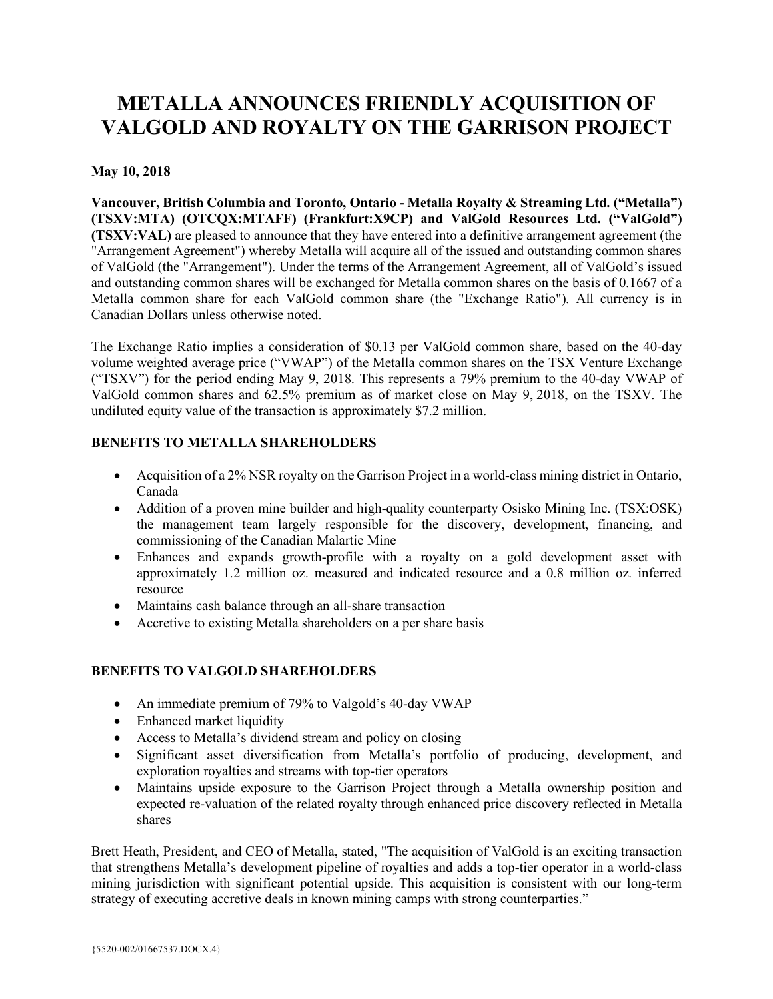# **METALLA ANNOUNCES FRIENDLY ACQUISITION OF VALGOLD AND ROYALTY ON THE GARRISON PROJECT**

# **May 10, 2018**

**Vancouver, British Columbia and Toronto, Ontario - Metalla Royalty & Streaming Ltd. ("Metalla") (TSXV:MTA) (OTCQX:MTAFF) (Frankfurt:X9CP) and ValGold Resources Ltd. ("ValGold") (TSXV:VAL)** are pleased to announce that they have entered into a definitive arrangement agreement (the "Arrangement Agreement") whereby Metalla will acquire all of the issued and outstanding common shares of ValGold (the "Arrangement"). Under the terms of the Arrangement Agreement, all of ValGold's issued and outstanding common shares will be exchanged for Metalla common shares on the basis of 0.1667 of a Metalla common share for each ValGold common share (the "Exchange Ratio"). All currency is in Canadian Dollars unless otherwise noted.

The Exchange Ratio implies a consideration of \$0.13 per ValGold common share, based on the 40-day volume weighted average price ("VWAP") of the Metalla common shares on the TSX Venture Exchange ("TSXV") for the period ending May 9, 2018. This represents a 79% premium to the 40-day VWAP of ValGold common shares and 62.5% premium as of market close on May 9, 2018, on the TSXV. The undiluted equity value of the transaction is approximately \$7.2 million.

# **BENEFITS TO METALLA SHAREHOLDERS**

- Acquisition of a 2% NSR royalty on the Garrison Project in a world-class mining district in Ontario, Canada
- Addition of a proven mine builder and high-quality counterparty Osisko Mining Inc. (TSX:OSK) the management team largely responsible for the discovery, development, financing, and commissioning of the Canadian Malartic Mine
- Enhances and expands growth-profile with a royalty on a gold development asset with approximately 1.2 million oz. measured and indicated resource and a 0.8 million oz. inferred resource
- Maintains cash balance through an all-share transaction
- Accretive to existing Metalla shareholders on a per share basis

# **BENEFITS TO VALGOLD SHAREHOLDERS**

- An immediate premium of 79% to Valgold's 40-day VWAP
- Enhanced market liquidity
- Access to Metalla's dividend stream and policy on closing
- Significant asset diversification from Metalla's portfolio of producing, development, and exploration royalties and streams with top-tier operators
- Maintains upside exposure to the Garrison Project through a Metalla ownership position and expected re-valuation of the related royalty through enhanced price discovery reflected in Metalla shares

Brett Heath, President, and CEO of Metalla, stated, "The acquisition of ValGold is an exciting transaction that strengthens Metalla's development pipeline of royalties and adds a top-tier operator in a world-class mining jurisdiction with significant potential upside. This acquisition is consistent with our long-term strategy of executing accretive deals in known mining camps with strong counterparties."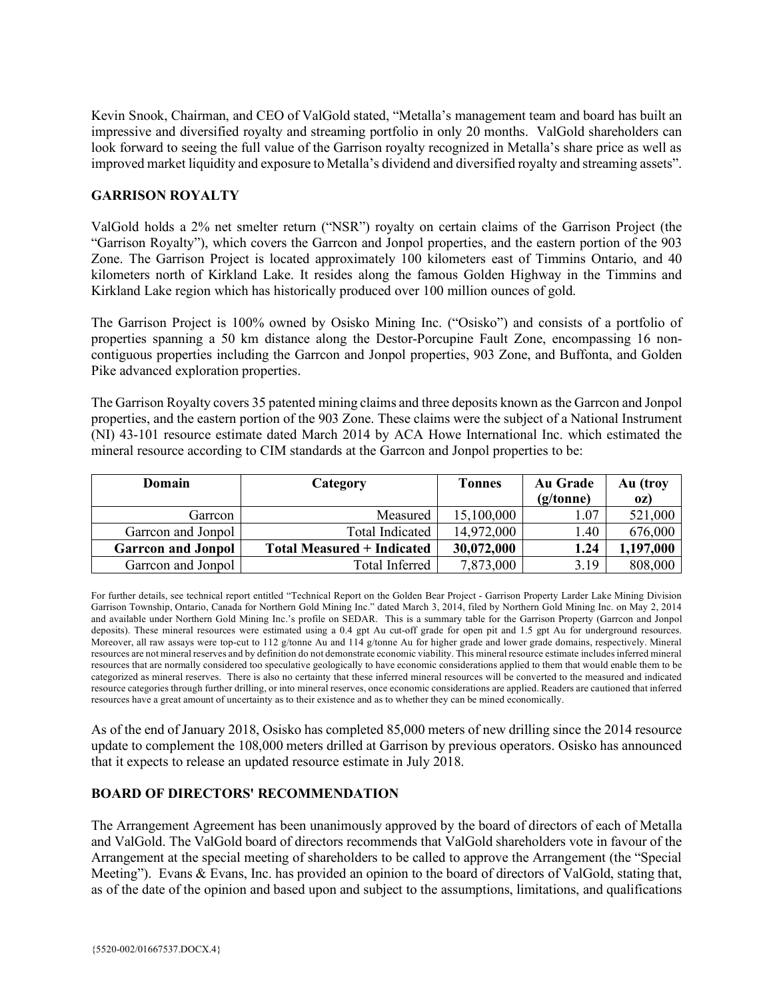Kevin Snook, Chairman, and CEO of ValGold stated, "Metalla's management team and board has built an impressive and diversified royalty and streaming portfolio in only 20 months. ValGold shareholders can look forward to seeing the full value of the Garrison royalty recognized in Metalla's share price as well as improved market liquidity and exposure to Metalla's dividend and diversified royalty and streaming assets".

### **GARRISON ROYALTY**

ValGold holds a 2% net smelter return ("NSR") royalty on certain claims of the Garrison Project (the "Garrison Royalty"), which covers the Garrcon and Jonpol properties, and the eastern portion of the 903 Zone. The Garrison Project is located approximately 100 kilometers east of Timmins Ontario, and 40 kilometers north of Kirkland Lake. It resides along the famous Golden Highway in the Timmins and Kirkland Lake region which has historically produced over 100 million ounces of gold.

The Garrison Project is 100% owned by Osisko Mining Inc. ("Osisko") and consists of a portfolio of properties spanning a 50 km distance along the Destor-Porcupine Fault Zone, encompassing 16 noncontiguous properties including the Garrcon and Jonpol properties, 903 Zone, and Buffonta, and Golden Pike advanced exploration properties.

The Garrison Royalty covers 35 patented mining claims and three deposits known as the Garrcon and Jonpol properties, and the eastern portion of the 903 Zone. These claims were the subject of a National Instrument (NI) 43-101 resource estimate dated March 2014 by ACA Howe International Inc. which estimated the mineral resource according to CIM standards at the Garrcon and Jonpol properties to be:

| Domain                    | Category                          | Tonnes     | Au Grade<br>(g/tonne) | Au (troy<br>0Z) |
|---------------------------|-----------------------------------|------------|-----------------------|-----------------|
| Garrcon                   | Measured                          | 15,100,000 | 1.07                  | 521,000         |
| Garreon and Jonpol        | <b>Total Indicated</b>            | 14,972,000 | 1.40                  | 676,000         |
| <b>Garreon and Jonpol</b> | <b>Total Measured + Indicated</b> | 30,072,000 | 1.24                  | 1,197,000       |
| Garreon and Jonpol        | Total Inferred                    | 7,873,000  | 3.19                  | 808,000         |

For further details, see technical report entitled "Technical Report on the Golden Bear Project - Garrison Property Larder Lake Mining Division Garrison Township, Ontario, Canada for Northern Gold Mining Inc." dated March 3, 2014, filed by Northern Gold Mining Inc. on May 2, 2014 and available under Northern Gold Mining Inc.'s profile on SEDAR. This is a summary table for the Garrison Property (Garrcon and Jonpol deposits). These mineral resources were estimated using a 0.4 gpt Au cut-off grade for open pit and 1.5 gpt Au for underground resources. Moreover, all raw assays were top-cut to 112 g/tonne Au and 114 g/tonne Au for higher grade and lower grade domains, respectively. Mineral resources are not mineral reserves and by definition do not demonstrate economic viability. This mineral resource estimate includes inferred mineral resources that are normally considered too speculative geologically to have economic considerations applied to them that would enable them to be categorized as mineral reserves. There is also no certainty that these inferred mineral resources will be converted to the measured and indicated resource categories through further drilling, or into mineral reserves, once economic considerations are applied. Readers are cautioned that inferred resources have a great amount of uncertainty as to their existence and as to whether they can be mined economically.

As of the end of January 2018, Osisko has completed 85,000 meters of new drilling since the 2014 resource update to complement the 108,000 meters drilled at Garrison by previous operators. Osisko has announced that it expects to release an updated resource estimate in July 2018.

#### **BOARD OF DIRECTORS' RECOMMENDATION**

The Arrangement Agreement has been unanimously approved by the board of directors of each of Metalla and ValGold. The ValGold board of directors recommends that ValGold shareholders vote in favour of the Arrangement at the special meeting of shareholders to be called to approve the Arrangement (the "Special Meeting"). Evans & Evans, Inc. has provided an opinion to the board of directors of ValGold, stating that, as of the date of the opinion and based upon and subject to the assumptions, limitations, and qualifications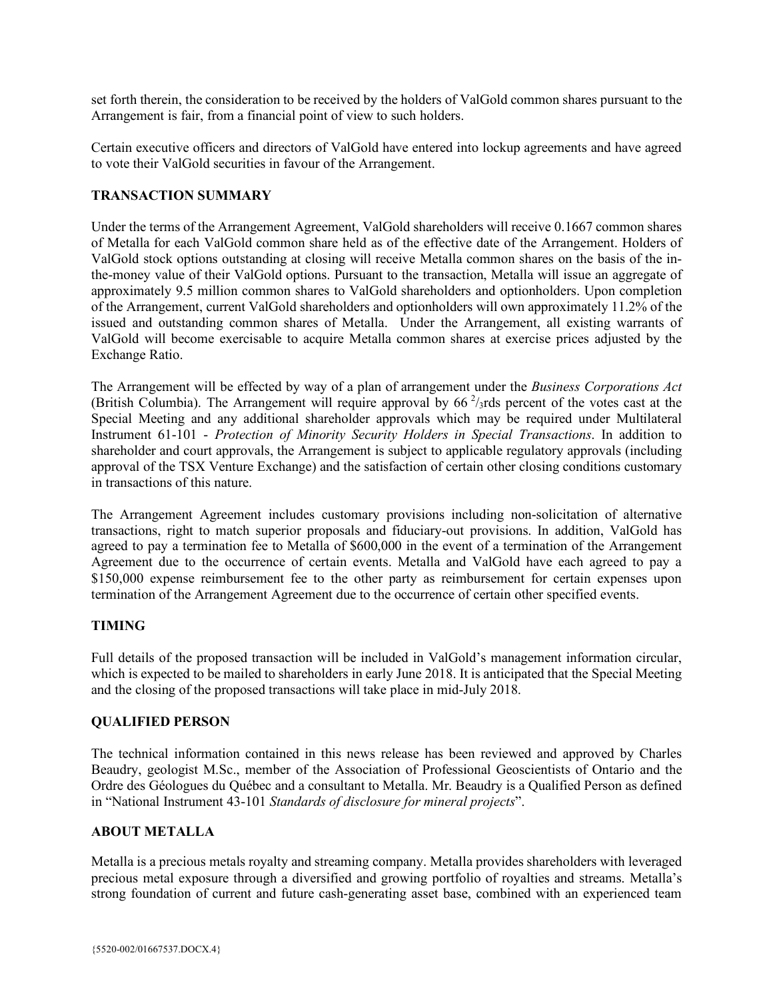set forth therein, the consideration to be received by the holders of ValGold common shares pursuant to the Arrangement is fair, from a financial point of view to such holders.

Certain executive officers and directors of ValGold have entered into lockup agreements and have agreed to vote their ValGold securities in favour of the Arrangement.

### **TRANSACTION SUMMARY**

Under the terms of the Arrangement Agreement, ValGold shareholders will receive 0.1667 common shares of Metalla for each ValGold common share held as of the effective date of the Arrangement. Holders of ValGold stock options outstanding at closing will receive Metalla common shares on the basis of the inthe-money value of their ValGold options. Pursuant to the transaction, Metalla will issue an aggregate of approximately 9.5 million common shares to ValGold shareholders and optionholders. Upon completion of the Arrangement, current ValGold shareholders and optionholders will own approximately 11.2% of the issued and outstanding common shares of Metalla. Under the Arrangement, all existing warrants of ValGold will become exercisable to acquire Metalla common shares at exercise prices adjusted by the Exchange Ratio.

The Arrangement will be effected by way of a plan of arrangement under the *Business Corporations Act*  (British Columbia). The Arrangement will require approval by  $66<sup>2</sup>/3$ rds percent of the votes cast at the Special Meeting and any additional shareholder approvals which may be required under Multilateral Instrument 61-101 - *Protection of Minority Security Holders in Special Transactions*. In addition to shareholder and court approvals, the Arrangement is subject to applicable regulatory approvals (including approval of the TSX Venture Exchange) and the satisfaction of certain other closing conditions customary in transactions of this nature.

The Arrangement Agreement includes customary provisions including non-solicitation of alternative transactions, right to match superior proposals and fiduciary-out provisions. In addition, ValGold has agreed to pay a termination fee to Metalla of \$600,000 in the event of a termination of the Arrangement Agreement due to the occurrence of certain events. Metalla and ValGold have each agreed to pay a \$150,000 expense reimbursement fee to the other party as reimbursement for certain expenses upon termination of the Arrangement Agreement due to the occurrence of certain other specified events.

#### **TIMING**

Full details of the proposed transaction will be included in ValGold's management information circular, which is expected to be mailed to shareholders in early June 2018. It is anticipated that the Special Meeting and the closing of the proposed transactions will take place in mid-July 2018.

#### **QUALIFIED PERSON**

The technical information contained in this news release has been reviewed and approved by Charles Beaudry, geologist M.Sc., member of the Association of Professional Geoscientists of Ontario and the Ordre des Géologues du Québec and a consultant to Metalla. Mr. Beaudry is a Qualified Person as defined in "National Instrument 43-101 *Standards of disclosure for mineral projects*".

# **ABOUT METALLA**

Metalla is a precious metals royalty and streaming company. Metalla provides shareholders with leveraged precious metal exposure through a diversified and growing portfolio of royalties and streams. Metalla's strong foundation of current and future cash-generating asset base, combined with an experienced team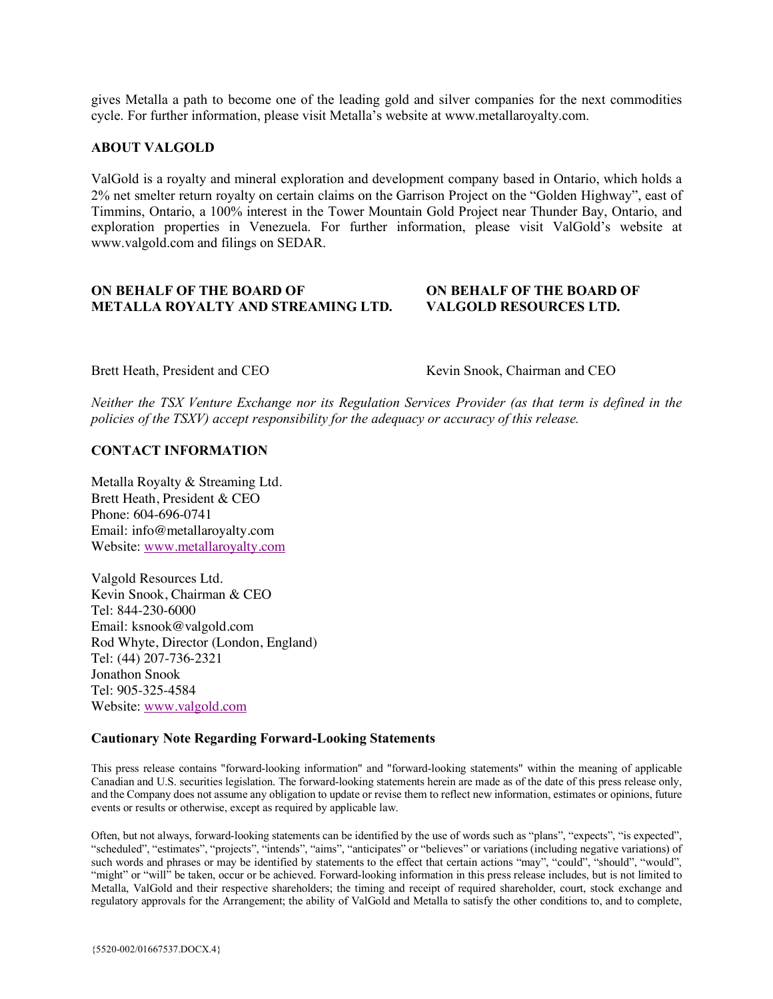gives Metalla a path to become one of the leading gold and silver companies for the next commodities cycle. For further information, please visit Metalla's website at www.metallaroyalty.com.

#### **ABOUT VALGOLD**

ValGold is a royalty and mineral exploration and development company based in Ontario, which holds a 2% net smelter return royalty on certain claims on the Garrison Project on the "Golden Highway", east of Timmins, Ontario, a 100% interest in the Tower Mountain Gold Project near Thunder Bay, Ontario, and exploration properties in Venezuela. For further information, please visit ValGold's website at www.valgold.com and filings on SEDAR.

#### **ON BEHALF OF THE BOARD OF ON BEHALF OF THE BOARD OF METALLA ROYALTY AND STREAMING LTD. VALGOLD RESOURCES LTD.**

Brett Heath, President and CEO Kevin Snook, Chairman and CEO

*Neither the TSX Venture Exchange nor its Regulation Services Provider (as that term is defined in the policies of the TSXV) accept responsibility for the adequacy or accuracy of this release.*

#### **CONTACT INFORMATION**

Metalla Royalty & Streaming Ltd. Brett Heath, President & CEO Phone: 604-696-0741 Email: info@metallaroyalty.com Website: www.metallaroyalty.com

Valgold Resources Ltd. Kevin Snook, Chairman & CEO Tel: 844-230-6000 Email: ksnook@valgold.com Rod Whyte, Director (London, England) Tel: (44) 207-736-2321 Jonathon Snook Tel: 905-325-4584 Website: www.valgold.com

#### **Cautionary Note Regarding Forward-Looking Statements**

This press release contains "forward-looking information" and "forward-looking statements" within the meaning of applicable Canadian and U.S. securities legislation. The forward-looking statements herein are made as of the date of this press release only, and the Company does not assume any obligation to update or revise them to reflect new information, estimates or opinions, future events or results or otherwise, except as required by applicable law.

Often, but not always, forward-looking statements can be identified by the use of words such as "plans", "expects", "is expected", "scheduled", "estimates", "projects", "intends", "aims", "anticipates" or "believes" or variations (including negative variations) of such words and phrases or may be identified by statements to the effect that certain actions "may", "could", "should", "would", "might" or "will" be taken, occur or be achieved. Forward-looking information in this press release includes, but is not limited to Metalla, ValGold and their respective shareholders; the timing and receipt of required shareholder, court, stock exchange and regulatory approvals for the Arrangement; the ability of ValGold and Metalla to satisfy the other conditions to, and to complete,